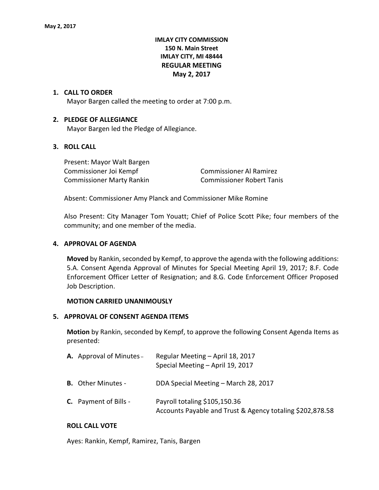# **IMLAY CITY COMMISSION 150 N. Main Street IMLAY CITY, MI 48444 REGULAR MEETING May 2, 2017**

#### **1. CALL TO ORDER**

Mayor Bargen called the meeting to order at 7:00 p.m.

#### **2. PLEDGE OF ALLEGIANCE**

Mayor Bargen led the Pledge of Allegiance.

# **3. ROLL CALL**

Present: Mayor Walt Bargen Commissioner Joi Kempf Commissioner Al Ramirez Commissioner Marty Rankin Commissioner Robert Tanis

Absent: Commissioner Amy Planck and Commissioner Mike Romine

Also Present: City Manager Tom Youatt; Chief of Police Scott Pike; four members of the community; and one member of the media.

#### **4. APPROVAL OF AGENDA**

**Moved** by Rankin, seconded by Kempf, to approve the agenda with the following additions: 5.A. Consent Agenda Approval of Minutes for Special Meeting April 19, 2017; 8.F. Code Enforcement Officer Letter of Resignation; and 8.G. Code Enforcement Officer Proposed Job Description.

#### **MOTION CARRIED UNANIMOUSLY**

#### **5. APPROVAL OF CONSENT AGENDA ITEMS**

**Motion** by Rankin, seconded by Kempf, to approve the following Consent Agenda Items as presented:

| <b>A.</b> Approval of Minutes – | Regular Meeting - April 18, 2017<br>Special Meeting - April 19, 2017                       |
|---------------------------------|--------------------------------------------------------------------------------------------|
| <b>B.</b> Other Minutes -       | DDA Special Meeting - March 28, 2017                                                       |
| <b>C.</b> Payment of Bills -    | Payroll totaling \$105,150.36<br>Accounts Payable and Trust & Agency totaling \$202,878.58 |

#### **ROLL CALL VOTE**

Ayes: Rankin, Kempf, Ramirez, Tanis, Bargen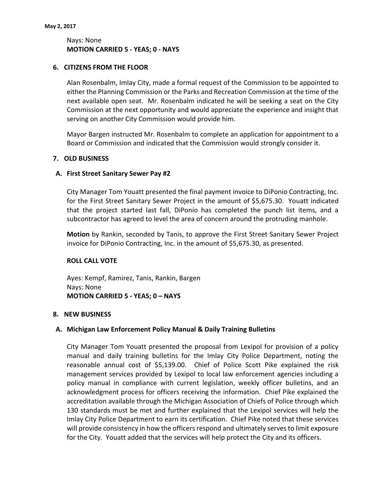# Nays: None **MOTION CARRIED 5 - YEAS; 0 - NAYS**

# **6. CITIZENS FROM THE FLOOR**

Alan Rosenbalm, Imlay City, made a formal request of the Commission to be appointed to either the Planning Commission or the Parks and Recreation Commission at the time of the next available open seat. Mr. Rosenbalm indicated he will be seeking a seat on the City Commission at the next opportunity and would appreciate the experience and insight that serving on another City Commission would provide him.

Mayor Bargen instructed Mr. Rosenbalm to complete an application for appointment to a Board or Commission and indicated that the Commission would strongly consider it.

# **7. OLD BUSINESS**

# **A. First Street Sanitary Sewer Pay #2**

City Manager Tom Youatt presented the final payment invoice to DiPonio Contracting, Inc. for the First Street Sanitary Sewer Project in the amount of \$5,675.30. Youatt indicated that the project started last fall, DiPonio has completed the punch list items, and a subcontractor has agreed to level the area of concern around the protruding manhole.

**Motion** by Rankin, seconded by Tanis, to approve the First Street Sanitary Sewer Project invoice for DiPonio Contracting, Inc. in the amount of \$5,675.30, as presented.

### **ROLL CALL VOTE**

Ayes: Kempf, Ramirez, Tanis, Rankin, Bargen Nays: None **MOTION CARRIED 5 - YEAS; 0 – NAYS**

### **8. NEW BUSINESS**

### **A. Michigan Law Enforcement Policy Manual & Daily Training Bulletins**

City Manager Tom Youatt presented the proposal from Lexipol for provision of a policy manual and daily training bulletins for the Imlay City Police Department, noting the reasonable annual cost of \$5,139.00. Chief of Police Scott Pike explained the risk management services provided by Lexipol to local law enforcement agencies including a policy manual in compliance with current legislation, weekly officer bulletins, and an acknowledgment process for officers receiving the information. Chief Pike explained the accreditation available through the Michigan Association of Chiefs of Police through which 130 standards must be met and further explained that the Lexipol services will help the Imlay City Police Department to earn its certification. Chief Pike noted that these services will provide consistency in how the officers respond and ultimately serves to limit exposure for the City. Youatt added that the services will help protect the City and its officers.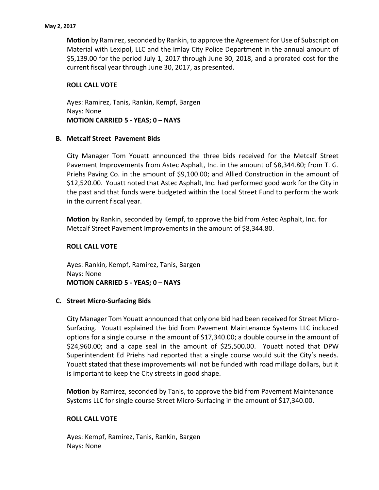**Motion** by Ramirez, seconded by Rankin, to approve the Agreement for Use of Subscription Material with Lexipol, LLC and the Imlay City Police Department in the annual amount of \$5,139.00 for the period July 1, 2017 through June 30, 2018, and a prorated cost for the current fiscal year through June 30, 2017, as presented.

#### **ROLL CALL VOTE**

Ayes: Ramirez, Tanis, Rankin, Kempf, Bargen Nays: None **MOTION CARRIED 5 - YEAS; 0 – NAYS**

#### **B. Metcalf Street Pavement Bids**

City Manager Tom Youatt announced the three bids received for the Metcalf Street Pavement Improvements from Astec Asphalt, Inc. in the amount of \$8,344.80; from T. G. Priehs Paving Co. in the amount of \$9,100.00; and Allied Construction in the amount of \$12,520.00. Youatt noted that Astec Asphalt, Inc. had performed good work for the City in the past and that funds were budgeted within the Local Street Fund to perform the work in the current fiscal year.

**Motion** by Rankin, seconded by Kempf, to approve the bid from Astec Asphalt, Inc. for Metcalf Street Pavement Improvements in the amount of \$8,344.80.

### **ROLL CALL VOTE**

Ayes: Rankin, Kempf, Ramirez, Tanis, Bargen Nays: None **MOTION CARRIED 5 - YEAS; 0 – NAYS**

### **C. Street Micro-Surfacing Bids**

City Manager Tom Youatt announced that only one bid had been received for Street Micro-Surfacing. Youatt explained the bid from Pavement Maintenance Systems LLC included options for a single course in the amount of \$17,340.00; a double course in the amount of \$24,960.00; and a cape seal in the amount of \$25,500.00. Youatt noted that DPW Superintendent Ed Priehs had reported that a single course would suit the City's needs. Youatt stated that these improvements will not be funded with road millage dollars, but it is important to keep the City streets in good shape.

**Motion** by Ramirez, seconded by Tanis, to approve the bid from Pavement Maintenance Systems LLC for single course Street Micro-Surfacing in the amount of \$17,340.00.

### **ROLL CALL VOTE**

Ayes: Kempf, Ramirez, Tanis, Rankin, Bargen Nays: None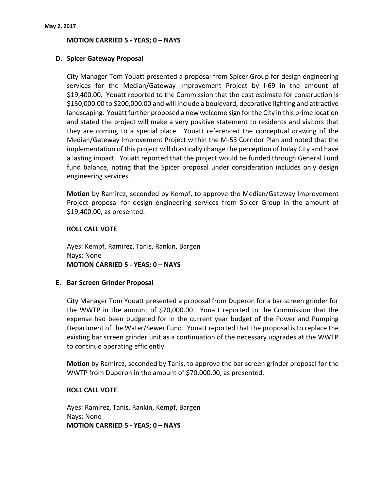#### **MOTION CARRIED 5 - YEAS; 0 – NAYS**

#### **D. Spicer Gateway Proposal**

City Manager Tom Youatt presented a proposal from Spicer Group for design engineering services for the Median/Gateway Improvement Project by I-69 in the amount of \$19,400.00. Youatt reported to the Commission that the cost estimate for construction is \$150,000.00 to \$200,000.00 and will include a boulevard, decorative lighting and attractive landscaping. Youatt further proposed a new welcome sign for the City in this prime location and stated the project will make a very positive statement to residents and visitors that they are coming to a special place. Youatt referenced the conceptual drawing of the Median/Gateway Improvement Project within the M-53 Corridor Plan and noted that the implementation of this project will drastically change the perception of Imlay City and have a lasting impact. Youatt reported that the project would be funded through General Fund fund balance, noting that the Spicer proposal under consideration includes only design engineering services.

**Motion** by Ramirez, seconded by Kempf, to approve the Median/Gateway Improvement Project proposal for design engineering services from Spicer Group in the amount of \$19,400.00, as presented.

#### **ROLL CALL VOTE**

Ayes: Kempf, Ramirez, Tanis, Rankin, Bargen Nays: None **MOTION CARRIED 5 - YEAS; 0 – NAYS**

### **E. Bar Screen Grinder Proposal**

City Manager Tom Youatt presented a proposal from Duperon for a bar screen grinder for the WWTP in the amount of \$70,000.00. Youatt reported to the Commission that the expense had been budgeted for in the current year budget of the Power and Pumping Department of the Water/Sewer Fund. Youatt reported that the proposal is to replace the existing bar screen grinder unit as a continuation of the necessary upgrades at the WWTP to continue operating efficiently.

**Motion** by Ramirez, seconded by Tanis, to approve the bar screen grinder proposal for the WWTP from Duperon in the amount of \$70,000.00, as presented.

#### **ROLL CALL VOTE**

Ayes: Ramirez, Tanis, Rankin, Kempf, Bargen Nays: None **MOTION CARRIED 5 - YEAS; 0 – NAYS**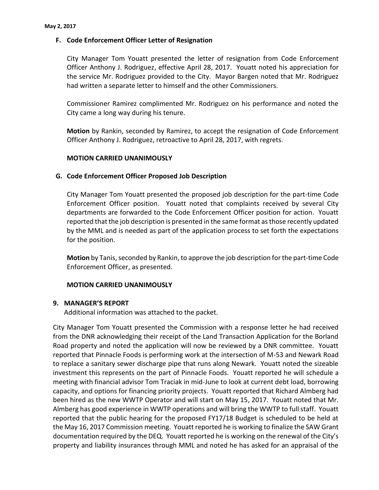# **F. Code Enforcement Officer Letter of Resignation**

City Manager Tom Youatt presented the letter of resignation from Code Enforcement Officer Anthony J. Rodriguez, effective April 28, 2017. Youatt noted his appreciation for the service Mr. Rodriguez provided to the City. Mayor Bargen noted that Mr. Rodriguez had written a separate letter to himself and the other Commissioners.

Commissioner Ramirez complimented Mr. Rodriguez on his performance and noted the City came a long way during his tenure.

**Motion** by Rankin, seconded by Ramirez, to accept the resignation of Code Enforcement Officer Anthony J. Rodriguez, retroactive to April 28, 2017, with regrets.

### **MOTION CARRIED UNANIMOUSLY**

### **G. Code Enforcement Officer Proposed Job Description**

City Manager Tom Youatt presented the proposed job description for the part-time Code Enforcement Officer position. Youatt noted that complaints received by several City departments are forwarded to the Code Enforcement Officer position for action. Youatt reported that the job description is presented in the same format as those recently updated by the MML and is needed as part of the application process to set forth the expectations for the position.

**Motion** by Tanis, seconded by Rankin, to approve the job description for the part-time Code Enforcement Officer, as presented.

### **MOTION CARRIED UNANIMOUSLY**

### **9. MANAGER'S REPORT**

Additional information was attached to the packet.

City Manager Tom Youatt presented the Commission with a response letter he had received from the DNR acknowledging their receipt of the Land Transaction Application for the Borland Road property and noted the application will now be reviewed by a DNR committee. Youatt reported that Pinnacle Foods is performing work at the intersection of M-53 and Newark Road to replace a sanitary sewer discharge pipe that runs along Newark. Youatt noted the sizeable investment this represents on the part of Pinnacle Foods. Youatt reported he will schedule a meeting with financial advisor Tom Traciak in mid-June to look at current debt load, borrowing capacity, and options for financing priority projects. Youatt reported that Richard Almberg had been hired as the new WWTP Operator and will start on May 15, 2017. Youatt noted that Mr. Almberg has good experience in WWTP operations and will bring the WWTP to full staff. Youatt reported that the public hearing for the proposed FY17/18 Budget is scheduled to be held at the May 16, 2017 Commission meeting. Youatt reported he is working to finalize the SAW Grant documentation required by the DEQ. Youatt reported he is working on the renewal of the City's property and liability insurances through MML and noted he has asked for an appraisal of the